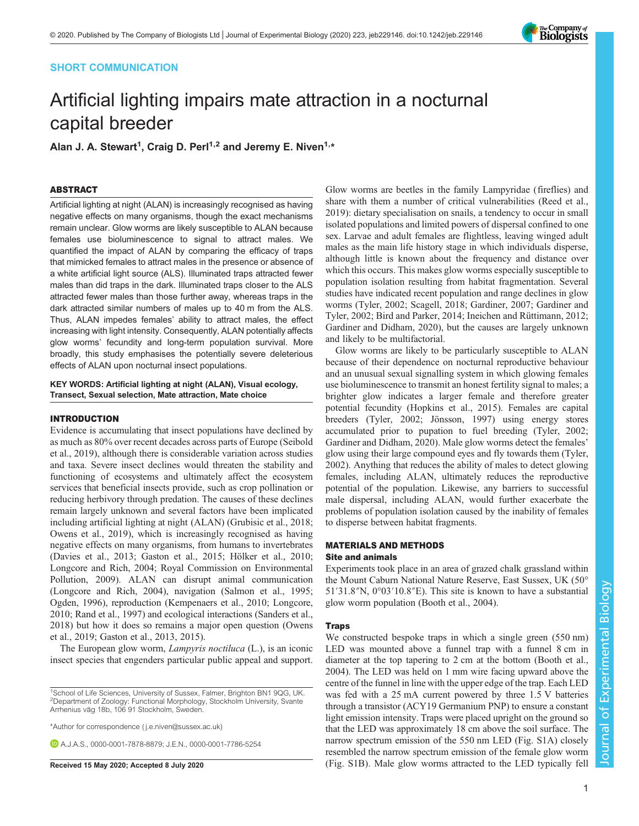# SHORT COMMUNICATION

# The Company of<br>**Biologists**

# Artificial lighting impairs mate attraction in a nocturnal capital breeder

Alan J. A. Stewart<sup>1</sup>, Craig D. Perl<sup>1,2</sup> and Jeremy E. Niven<sup>1,</sup>\*

# ABSTRACT

Artificial lighting at night (ALAN) is increasingly recognised as having negative effects on many organisms, though the exact mechanisms remain unclear. Glow worms are likely susceptible to ALAN because females use bioluminescence to signal to attract males. We quantified the impact of ALAN by comparing the efficacy of traps that mimicked females to attract males in the presence or absence of a white artificial light source (ALS). Illuminated traps attracted fewer males than did traps in the dark. Illuminated traps closer to the ALS attracted fewer males than those further away, whereas traps in the dark attracted similar numbers of males up to 40 m from the ALS. Thus, ALAN impedes females' ability to attract males, the effect increasing with light intensity. Consequently, ALAN potentially affects glow worms' fecundity and long-term population survival. More broadly, this study emphasises the potentially severe deleterious effects of ALAN upon nocturnal insect populations.

KEY WORDS: Artificial lighting at night (ALAN), Visual ecology, Transect, Sexual selection, Mate attraction, Mate choice

# INTRODUCTION

Evidence is accumulating that insect populations have declined by as much as 80% over recent decades across parts of Europe [\(Seibold](#page-4-0) [et al., 2019](#page-4-0)), although there is considerable variation across studies and taxa. Severe insect declines would threaten the stability and functioning of ecosystems and ultimately affect the ecosystem services that beneficial insects provide, such as crop pollination or reducing herbivory through predation. The causes of these declines remain largely unknown and several factors have been implicated including artificial lighting at night (ALAN) ([Grubisic et al., 2018](#page-3-0); [Owens et al., 2019\)](#page-4-0), which is increasingly recognised as having negative effects on many organisms, from humans to invertebrates [\(Davies et al., 2013](#page-3-0); [Gaston et al., 2015](#page-3-0); [Hölker et al., 2010](#page-3-0); [Longcore and Rich, 2004; Royal Commission on Environmental](#page-4-0) [Pollution, 2009\)](#page-4-0). ALAN can disrupt animal communication [\(Longcore and Rich, 2004](#page-4-0)), navigation [\(Salmon et al., 1995](#page-4-0); [Ogden, 1996](#page-4-0)), reproduction [\(Kempenaers et al., 2010;](#page-3-0) [Longcore,](#page-4-0) [2010](#page-4-0); [Rand et al., 1997](#page-4-0)) and ecological interactions [\(Sanders et al.,](#page-4-0) [2018](#page-4-0)) but how it does so remains a major open question ([Owens](#page-4-0) [et al., 2019;](#page-4-0) [Gaston et al., 2013, 2015\)](#page-3-0).

The European glow worm, *Lampyris noctiluca* (L.), is an iconic insect species that engenders particular public appeal and support.

\*Author for correspondence [\( j.e.niven@sussex.ac.uk](mailto:j.e.niven@sussex.ac.uk))

A.J.A.S., [0000-0001-7878-8879;](http://orcid.org/0000-0001-7878-8879) J.E.N., [0000-0001-7786-5254](http://orcid.org/0000-0001-7786-5254)

Glow worms are beetles in the family Lampyridae (fireflies) and share with them a number of critical vulnerabilities [\(Reed et al.,](#page-4-0) [2019\)](#page-4-0): dietary specialisation on snails, a tendency to occur in small isolated populations and limited powers of dispersal confined to one sex. Larvae and adult females are flightless, leaving winged adult males as the main life history stage in which individuals disperse, although little is known about the frequency and distance over which this occurs. This makes glow worms especially susceptible to population isolation resulting from habitat fragmentation. Several studies have indicated recent population and range declines in glow worms ([Tyler, 2002](#page-4-0); [Scagell, 2018;](#page-4-0) [Gardiner, 2007; Gardiner and](#page-3-0) [Tyler, 2002; Bird and Parker, 2014; Ineichen and Rüttimann, 2012](#page-3-0); [Gardiner and Didham, 2020\)](#page-3-0), but the causes are largely unknown and likely to be multifactorial.

Glow worms are likely to be particularly susceptible to ALAN because of their dependence on nocturnal reproductive behaviour and an unusual sexual signalling system in which glowing females use bioluminescence to transmit an honest fertility signal to males; a brighter glow indicates a larger female and therefore greater potential fecundity [\(Hopkins et al., 2015\)](#page-3-0). Females are capital breeders ([Tyler, 2002;](#page-4-0) [Jönsson, 1997\)](#page-3-0) using energy stores accumulated prior to pupation to fuel breeding [\(Tyler, 2002](#page-4-0); [Gardiner and Didham, 2020\)](#page-3-0). Male glow worms detect the females' glow using their large compound eyes and fly towards them [\(Tyler,](#page-4-0) [2002\)](#page-4-0). Anything that reduces the ability of males to detect glowing females, including ALAN, ultimately reduces the reproductive potential of the population. Likewise, any barriers to successful male dispersal, including ALAN, would further exacerbate the problems of population isolation caused by the inability of females to disperse between habitat fragments.

# MATERIALS AND METHODS Site and animals

Experiments took place in an area of grazed chalk grassland within the Mount Caburn National Nature Reserve, East Sussex, UK (50° 51′31.8″N, 0°03′10.8″E). This site is known to have a substantial glow worm population ([Booth et al., 2004](#page-3-0)).

## **Traps**

We constructed bespoke traps in which a single green (550 nm) LED was mounted above a funnel trap with a funnel 8 cm in diameter at the top tapering to 2 cm at the bottom [\(Booth et al.,](#page-3-0) [2004\)](#page-3-0). The LED was held on 1 mm wire facing upward above the centre of the funnel in line with the upper edge of the trap. Each LED was fed with a 25 mA current powered by three 1.5 V batteries through a transistor (ACY19 Germanium PNP) to ensure a constant light emission intensity. Traps were placed upright on the ground so that the LED was approximately 18 cm above the soil surface. The narrow spectrum emission of the 550 nm LED ([Fig. S1A](https://jeb.biologists.org/lookup/doi/10.1242/jeb.229146.supplemental)) closely resembled the narrow spectrum emission of the female glow worm Received 15 May 2020; Accepted 8 July 2020 [\(Fig. S1B\)](https://jeb.biologists.org/lookup/doi/10.1242/jeb.229146.supplemental). Male glow worms attracted to the LED typically fell

<sup>&</sup>lt;sup>1</sup>School of Life Sciences, University of Sussex, Falmer, Brighton BN1 9QG, UK. <sup>2</sup>Department of Zoology: Functional Morphology, Stockholm University, Svante Arrhenius väg 18b, 106 91 Stockholm, Sweden.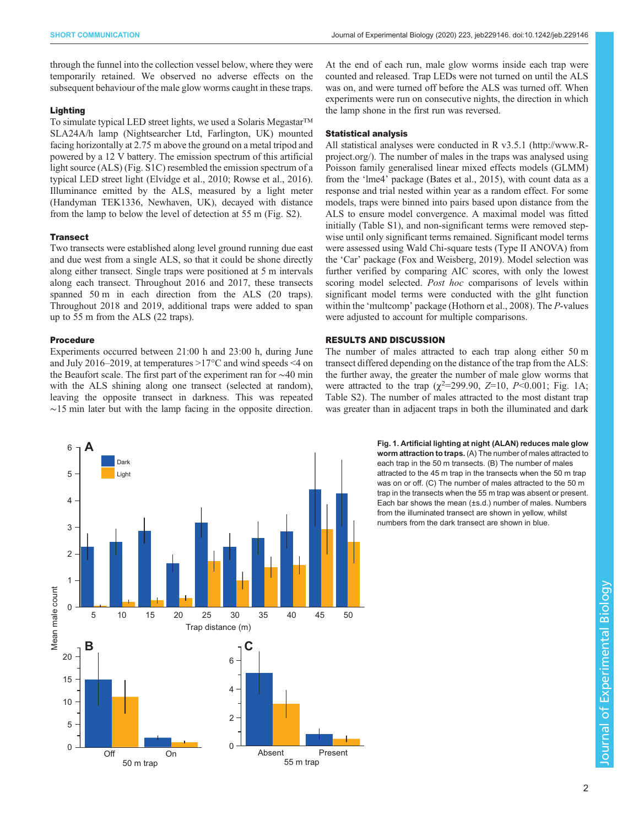<span id="page-1-0"></span>through the funnel into the collection vessel below, where they were temporarily retained. We observed no adverse effects on the subsequent behaviour of the male glow worms caught in these traps.

# Lighting

To simulate typical LED street lights, we used a Solaris Megastar™ SLA24A/h lamp (Nightsearcher Ltd, Farlington, UK) mounted facing horizontally at 2.75 m above the ground on a metal tripod and powered by a 12 V battery. The emission spectrum of this artificial light source (ALS) [\(Fig. S1C\)](https://jeb.biologists.org/lookup/doi/10.1242/jeb.229146.supplemental) resembled the emission spectrum of a typical LED street light ([Elvidge et al., 2010](#page-3-0); [Rowse et al., 2016\)](#page-4-0). Illuminance emitted by the ALS, measured by a light meter (Handyman TEK1336, Newhaven, UK), decayed with distance from the lamp to below the level of detection at 55 m ([Fig. S2](https://jeb.biologists.org/lookup/doi/10.1242/jeb.229146.supplemental)).

## **Transect**

Two transects were established along level ground running due east and due west from a single ALS, so that it could be shone directly along either transect. Single traps were positioned at 5 m intervals along each transect. Throughout 2016 and 2017, these transects spanned 50 m in each direction from the ALS (20 traps). Throughout 2018 and 2019, additional traps were added to span up to 55 m from the ALS (22 traps).

# Procedure

Experiments occurred between 21:00 h and 23:00 h, during June and July 2016–2019, at temperatures >17°C and wind speeds <4 on the Beaufort scale. The first part of the experiment ran for ∼40 min with the ALS shining along one transect (selected at random), leaving the opposite transect in darkness. This was repeated ∼15 min later but with the lamp facing in the opposite direction. At the end of each run, male glow worms inside each trap were counted and released. Trap LEDs were not turned on until the ALS was on, and were turned off before the ALS was turned off. When experiments were run on consecutive nights, the direction in which the lamp shone in the first run was reversed.

## Statistical analysis

All statistical analyses were conducted in R v3.5.1 [\(http://www.R](http://www.R-project.org/)[project.org/](http://www.R-project.org/)). The number of males in the traps was analysed using Poisson family generalised linear mixed effects models (GLMM) from the 'lme4' package ([Bates et al., 2015\)](#page-3-0), with count data as a response and trial nested within year as a random effect. For some models, traps were binned into pairs based upon distance from the ALS to ensure model convergence. A maximal model was fitted initially [\(Table S1](https://jeb.biologists.org/lookup/doi/10.1242/jeb.229146.supplemental)), and non-significant terms were removed stepwise until only significant terms remained. Significant model terms were assessed using Wald Chi-square tests (Type II ANOVA) from the 'Car' package ([Fox and Weisberg, 2019](#page-3-0)). Model selection was further verified by comparing AIC scores, with only the lowest scoring model selected. Post hoc comparisons of levels within significant model terms were conducted with the glht function within the 'multcomp' package [\(Hothorn et al., 2008](#page-3-0)). The P-values were adjusted to account for multiple comparisons.

## RESULTS AND DISCUSSION

The number of males attracted to each trap along either 50 m transect differed depending on the distance of the trap from the ALS: the further away, the greater the number of male glow worms that were attracted to the trap  $(\chi^2 = 299.90, Z = 10, P < 0.001;$  Fig. 1A; [Table S2](https://jeb.biologists.org/lookup/doi/10.1242/jeb.229146.supplemental)). The number of males attracted to the most distant trap was greater than in adjacent traps in both the illuminated and dark



Fig. 1. Artificial lighting at night (ALAN) reduces male glow worm attraction to traps. (A) The number of males attracted to each trap in the 50 m transects. (B) The number of males attracted to the 45 m trap in the transects when the 50 m trap was on or off. (C) The number of males attracted to the 50 m trap in the transects when the 55 m trap was absent or present. Each bar shows the mean (±s.d.) number of males. Numbers from the illuminated transect are shown in yellow, whilst numbers from the dark transect are shown in blue.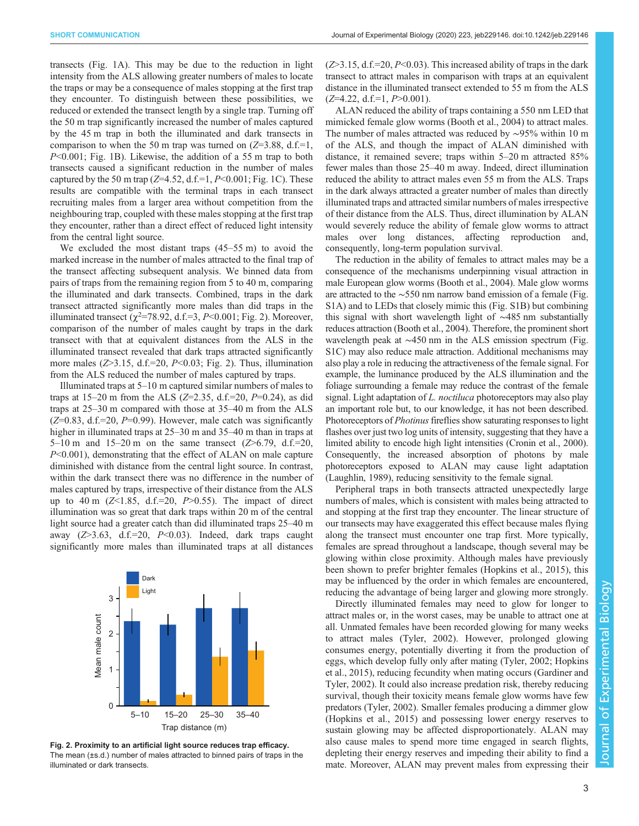transects [\(Fig. 1A](#page-1-0)). This may be due to the reduction in light intensity from the ALS allowing greater numbers of males to locate the traps or may be a consequence of males stopping at the first trap they encounter. To distinguish between these possibilities, we reduced or extended the transect length by a single trap. Turning off the 50 m trap significantly increased the number of males captured by the 45 m trap in both the illuminated and dark transects in comparison to when the 50 m trap was turned on  $(Z=3.88, d.f.=1,$ P<0.001; [Fig. 1](#page-1-0)B). Likewise, the addition of a 55 m trap to both transects caused a significant reduction in the number of males captured by the 50 m trap ( $Z=4.52$ , d.f.=1,  $P<0.001$ ; [Fig. 1C](#page-1-0)). These results are compatible with the terminal traps in each transect recruiting males from a larger area without competition from the neighbouring trap, coupled with these males stopping at the first trap they encounter, rather than a direct effect of reduced light intensity from the central light source.

We excluded the most distant traps (45–55 m) to avoid the marked increase in the number of males attracted to the final trap of the transect affecting subsequent analysis. We binned data from pairs of traps from the remaining region from 5 to 40 m, comparing the illuminated and dark transects. Combined, traps in the dark transect attracted significantly more males than did traps in the illuminated transect  $(\chi^2$ =78.92, d.f.=3, P<0.001; Fig. 2). Moreover, comparison of the number of males caught by traps in the dark transect with that at equivalent distances from the ALS in the illuminated transect revealed that dark traps attracted significantly more males  $(Z>3.15, d.f.=20, P<0.03; Fig. 2)$ . Thus, illumination from the ALS reduced the number of males captured by traps.

Illuminated traps at 5–10 m captured similar numbers of males to traps at 15–20 m from the ALS (Z=2.35, d.f.=20,  $P=0.24$ ), as did traps at 25–30 m compared with those at 35–40 m from the ALS  $(Z=0.83, d.f.=20, P=0.99)$ . However, male catch was significantly higher in illuminated traps at  $25-30$  m and  $35-40$  m than in traps at 5–10 m and 15–20 m on the same transect  $(Z>6.79, d.f.=20$ , P<0.001), demonstrating that the effect of ALAN on male capture diminished with distance from the central light source. In contrast, within the dark transect there was no difference in the number of males captured by traps, irrespective of their distance from the ALS up to 40 m  $(Z<1.85, d.f.=20, P>0.55)$ . The impact of direct illumination was so great that dark traps within 20 m of the central light source had a greater catch than did illuminated traps 25–40 m away  $(Z>3.63, d.f.=20, P<0.03)$ . Indeed, dark traps caught significantly more males than illuminated traps at all distances



Fig. 2. Proximity to an artificial light source reduces trap efficacy. The mean (±s.d.) number of males attracted to binned pairs of traps in the illuminated or dark transects.

 $(Z>3.15, d.f.=20, P<0.03)$ . This increased ability of traps in the dark transect to attract males in comparison with traps at an equivalent distance in the illuminated transect extended to 55 m from the ALS  $(Z=4.22, d.f.=1, P>0.001)$ .

ALAN reduced the ability of traps containing a 550 nm LED that mimicked female glow worms ([Booth et al., 2004](#page-3-0)) to attract males. The number of males attracted was reduced by ∼95% within 10 m of the ALS, and though the impact of ALAN diminished with distance, it remained severe; traps within 5–20 m attracted 85% fewer males than those 25–40 m away. Indeed, direct illumination reduced the ability to attract males even 55 m from the ALS. Traps in the dark always attracted a greater number of males than directly illuminated traps and attracted similar numbers of males irrespective of their distance from the ALS. Thus, direct illumination by ALAN would severely reduce the ability of female glow worms to attract males over long distances, affecting reproduction and, consequently, long-term population survival.

The reduction in the ability of females to attract males may be a consequence of the mechanisms underpinning visual attraction in male European glow worms ([Booth et al., 2004\)](#page-3-0). Male glow worms are attracted to the ∼550 nm narrow band emission of a female [\(Fig.](https://jeb.biologists.org/lookup/doi/10.1242/jeb.229146.supplemental) [S1A\)](https://jeb.biologists.org/lookup/doi/10.1242/jeb.229146.supplemental) and to LEDs that closely mimic this ([Fig. S1B\)](https://jeb.biologists.org/lookup/doi/10.1242/jeb.229146.supplemental) but combining this signal with short wavelength light of ∼485 nm substantially reduces attraction ([Booth et al., 2004\)](#page-3-0). Therefore, the prominent short wavelength peak at ∼450 nm in the ALS emission spectrum [\(Fig.](https://jeb.biologists.org/lookup/doi/10.1242/jeb.229146.supplemental) [S1C](https://jeb.biologists.org/lookup/doi/10.1242/jeb.229146.supplemental)) may also reduce male attraction. Additional mechanisms may also play a role in reducing the attractiveness of the female signal. For example, the luminance produced by the ALS illumination and the foliage surrounding a female may reduce the contrast of the female signal. Light adaptation of L. noctiluca photoreceptors may also play an important role but, to our knowledge, it has not been described. Photoreceptors of *Photinus* fireflies show saturating responses to light flashes over just two log units of intensity, suggesting that they have a limited ability to encode high light intensities [\(Cronin et al., 2000\)](#page-3-0). Consequently, the increased absorption of photons by male photoreceptors exposed to ALAN may cause light adaptation [\(Laughlin, 1989\)](#page-4-0), reducing sensitivity to the female signal.

Peripheral traps in both transects attracted unexpectedly large numbers of males, which is consistent with males being attracted to and stopping at the first trap they encounter. The linear structure of our transects may have exaggerated this effect because males flying along the transect must encounter one trap first. More typically, females are spread throughout a landscape, though several may be glowing within close proximity. Although males have previously been shown to prefer brighter females ([Hopkins et al., 2015\)](#page-3-0), this may be influenced by the order in which females are encountered, reducing the advantage of being larger and glowing more strongly.

Directly illuminated females may need to glow for longer to attract males or, in the worst cases, may be unable to attract one at all. Unmated females have been recorded glowing for many weeks to attract males [\(Tyler, 2002\)](#page-4-0). However, prolonged glowing consumes energy, potentially diverting it from the production of eggs, which develop fully only after mating ([Tyler, 2002;](#page-4-0) [Hopkins](#page-3-0) [et al., 2015\)](#page-3-0), reducing fecundity when mating occurs ([Gardiner and](#page-3-0) [Tyler, 2002\)](#page-3-0). It could also increase predation risk, thereby reducing survival, though their toxicity means female glow worms have few predators [\(Tyler, 2002\)](#page-4-0). Smaller females producing a dimmer glow [\(Hopkins et al., 2015](#page-3-0)) and possessing lower energy reserves to sustain glowing may be affected disproportionately. ALAN may also cause males to spend more time engaged in search flights, depleting their energy reserves and impeding their ability to find a mate. Moreover, ALAN may prevent males from expressing their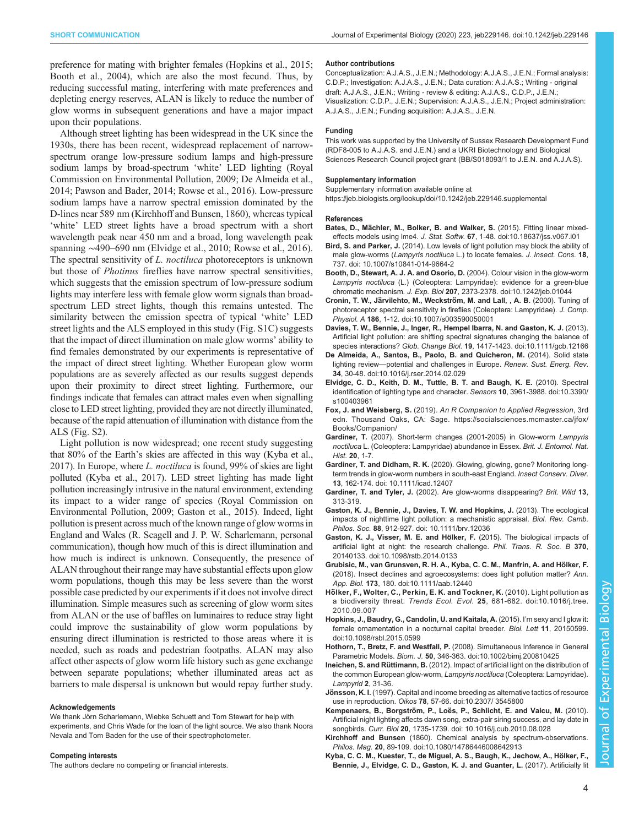<span id="page-3-0"></span>Although street lighting has been widespread in the UK since the 1930s, there has been recent, widespread replacement of narrowspectrum orange low-pressure sodium lamps and high-pressure sodium lamps by broad-spectrum 'white' LED lighting ([Royal](#page-4-0) [Commission on Environmental Pollution, 2009](#page-4-0); De Almeida et al., 2014; [Pawson and Bader, 2014; Rowse et al., 2016\)](#page-4-0). Low-pressure sodium lamps have a narrow spectral emission dominated by the D-lines near 589 nm (Kirchhoff and Bunsen, 1860), whereas typical 'white' LED street lights have a broad spectrum with a short wavelength peak near 450 nm and a broad, long wavelength peak spanning ∼490–690 nm (Elvidge et al., 2010; [Rowse et al., 2016\)](#page-4-0). The spectral sensitivity of *L. noctiluca* photoreceptors is unknown but those of Photinus fireflies have narrow spectral sensitivities, which suggests that the emission spectrum of low-pressure sodium lights may interfere less with female glow worm signals than broadspectrum LED street lights, though this remains untested. The similarity between the emission spectra of typical 'white' LED street lights and the ALS employed in this study [\(Fig. S1C](https://jeb.biologists.org/lookup/doi/10.1242/jeb.229146.supplemental)) suggests that the impact of direct illumination on male glow worms' ability to find females demonstrated by our experiments is representative of the impact of direct street lighting. Whether European glow worm populations are as severely affected as our results suggest depends upon their proximity to direct street lighting. Furthermore, our findings indicate that females can attract males even when signalling close to LED street lighting, provided they are not directly illuminated, because of the rapid attenuation of illumination with distance from the ALS [\(Fig. S2\)](https://jeb.biologists.org/lookup/doi/10.1242/jeb.229146.supplemental).

Light pollution is now widespread; one recent study suggesting that 80% of the Earth's skies are affected in this way (Kyba et al., 2017). In Europe, where L. noctiluca is found, 99% of skies are light polluted (Kyba et al., 2017). LED street lighting has made light pollution increasingly intrusive in the natural environment, extending its impact to a wider range of species ([Royal Commission on](#page-4-0) [Environmental Pollution, 2009](#page-4-0); Gaston et al., 2015). Indeed, light pollution is present across much of the known range of glow worms in England and Wales (R. Scagell and J. P. W. Scharlemann, personal communication), though how much of this is direct illumination and how much is indirect is unknown. Consequently, the presence of ALAN throughout their range may have substantial effects upon glow worm populations, though this may be less severe than the worst possible case predicted by our experiments if it does not involve direct illumination. Simple measures such as screening of glow worm sites from ALAN or the use of baffles on luminaires to reduce stray light could improve the sustainability of glow worm populations by ensuring direct illumination is restricted to those areas where it is needed, such as roads and pedestrian footpaths. ALAN may also affect other aspects of glow worm life history such as gene exchange between separate populations; whether illuminated areas act as barriers to male dispersal is unknown but would repay further study.

## Acknowledgements

We thank Jörn Scharlemann, Wiebke Schuett and Tom Stewart for help with experiments, and Chris Wade for the loan of the light source. We also thank Noora Nevala and Tom Baden for the use of their spectrophotometer.

### Competing interests

The authors declare no competing or financial interests.

#### Author contributions

Conceptualization: A.J.A.S., J.E.N.; Methodology: A.J.A.S., J.E.N.; Formal analysis: C.D.P.; Investigation: A.J.A.S., J.E.N.; Data curation: A.J.A.S.; Writing - original draft: A.J.A.S., J.E.N.; Writing - review & editing: A.J.A.S., C.D.P., J.E.N.; Visualization: C.D.P., J.E.N.; Supervision: A.J.A.S., J.E.N.; Project administration: A.J.A.S., J.E.N.; Funding acquisition: A.J.A.S., J.E.N.

### Funding

This work was supported by the University of Sussex Research Development Fund (RDF8-005 to A.J.A.S. and J.E.N.) and a UKRI Biotechnology and Biological Sciences Research Council project grant (BB/S018093/1 to J.E.N. and A.J.A.S).

## Supplementary information

Supplementary information available online at <https://jeb.biologists.org/lookup/doi/10.1242/jeb.229146.supplemental>

## References

- Bates, D., Mä[chler, M., Bolker, B. and Walker, S.](https://doi.org/10.18637/jss.v067.i01) (2015). Fitting linear mixedeffects models using lme4. J. Stat. Softw. 67[, 1-48. doi:10.18637/jss.v067.i01](https://doi.org/10.18637/jss.v067.i01)
- Bird, S. and Parker, J. [\(2014\). Low levels of light pollution may block the ability of](https://doi.org/ 10.1007/s10841-014-9664-2) male glow-worms (Lampyris noctiluca [L.\) to locate females.](https://doi.org/ 10.1007/s10841-014-9664-2) J. Insect. Cons. 18, [737. doi: 10.1007/s10841-014-9664-2](https://doi.org/ 10.1007/s10841-014-9664-2)
- [Booth, D., Stewart, A. J. A. and Osorio, D.](https://doi.org/10.1242/jeb.01044) (2004). Colour vision in the glow-worm Lampyris noctiluca [\(L.\) \(Coleoptera: Lampyridae\): evidence for a green-blue](https://doi.org/10.1242/jeb.01044) chromatic mechanism. J. Exp. Biol 207[, 2373-2378. doi:10.1242/jeb.01044](https://doi.org/10.1242/jeb.01044)
- Cronin, T. W., Järvilehto, M., Weckström, M. and Lall, , A. B. (2000). Tuning of [photoreceptor spectral sensitivity in fireflies \(Coleoptera: Lampyridae\).](https://doi.org/10.1007/s003590050001) J. Comp. Physiol. A 186[, 1-12. doi:10.1007/s003590050001](https://doi.org/10.1007/s003590050001)
- [Davies, T. W., Bennie, J., Inger, R., Hempel Ibarra, N. and Gaston, K. J.](https://doi.org/10.1111/gcb.12166) (2013). [Artificial light pollution: are shifting spectral signatures changing the balance of](https://doi.org/10.1111/gcb.12166) species interactions? Glob. Change Biol. 19[, 1417-1423. doi:10.1111/gcb.12166](https://doi.org/10.1111/gcb.12166)
- [De Almeida, A., Santos, B., Paolo, B. and Quicheron, M.](https://doi.org/10.1016/j.rser.2014.02.029) (2014). Solid state lighting review—[potential and challenges in Europe.](https://doi.org/10.1016/j.rser.2014.02.029) Renew. Sust. Energ. Rev. 34[, 30-48. doi:10.1016/j.rser.2014.02.029](https://doi.org/10.1016/j.rser.2014.02.029)
- [Elvidge, C. D., Keith, D. M., Tuttle, B. T. and Baugh, K. E.](https://doi.org/10.3390/s100403961) (2010). Spectral [identification of lighting type and character.](https://doi.org/10.3390/s100403961) Sensors 10, 3961-3988. doi:10.3390/ [s100403961](https://doi.org/10.3390/s100403961)
- Fox, J. and Weisberg, S. (2019). An R Companion to Applied Regression, 3rd edn. Thousand Oaks, CA: Sage. [https://socialsciences.mcmaster.ca/jfox/](https://socialsciences.mcmaster.ca/jfox/Books/Companion/) [Books/Companion/](https://socialsciences.mcmaster.ca/jfox/Books/Companion/)
- Gardiner, T. (2007). Short-term changes (2001-2005) in Glow-worm Lampyris noctiluca L. (Coleoptera: Lampyridae) abundance in Essex. Brit. J. Entomol. Nat. Hist. 20, 1-7.
- Gardiner, T. and Didham, R. K. [\(2020\). Glowing, glowing, gone? Monitoring long](https://doi.org/ 10.1111/icad.12407)[term trends in glow-worm numbers in south-east England.](https://doi.org/ 10.1111/icad.12407) Insect Conserv. Diver. 13[, 162-174. doi: 10.1111/icad.12407](https://doi.org/ 10.1111/icad.12407)
- Gardiner, T. and Tyler, J. (2002). Are glow-worms disappearing? Brit. Wild 13, 313-319.
- [Gaston, K. J., Bennie, J., Davies, T. W. and Hopkins, J.](https://doi.org/ 10.1111/brv.12036) (2013). The ecological [impacts of nighttime light pollution: a mechanistic appraisal.](https://doi.org/ 10.1111/brv.12036) Biol. Rev. Camb. Philos. Soc. 88[, 912-927. doi: 10.1111/brv.12036](https://doi.org/ 10.1111/brv.12036)
- Gaston, K. J., Visser, M. E. and Hölker, F. (2015). The biological impacts of [artificial light at night: the research challenge.](https://doi.org/10.1098/rstb.2014.0133) Phil. Trans. R. Soc. B 370, [20140133. doi:10.1098/rstb.2014.0133](https://doi.org/10.1098/rstb.2014.0133)
- [Grubisic, M., van Grunsven, R. H. A., Kyba, C. C. M., Manfrin, A. and Ho](https://doi.org/10.1111/aab.12440)̈lker, F. [\(2018\). Insect declines and agroecosystems: does light pollution matter?](https://doi.org/10.1111/aab.12440) Ann. App. Biol. 173[, 180. doi:10.1111/aab.12440](https://doi.org/10.1111/aab.12440)
- Hö[lker, F., Wolter, C., Perkin, E. K. and Tockner, K.](https://doi.org/10.1016/j.tree.2010.09.007) (2010). Light pollution as a biodiversity threat. Trends Ecol. Evol. 25[, 681-682. doi:10.1016/j.tree.](https://doi.org/10.1016/j.tree.2010.09.007) [2010.09.007](https://doi.org/10.1016/j.tree.2010.09.007)
- [Hopkins, J., Baudry, G., Candolin, U. and Kaitala, A.](https://doi.org/10.1098/rsbl.2015.0599) (2015). I'm sexy and I glow it: [female ornamentation in a nocturnal capital breeder.](https://doi.org/10.1098/rsbl.2015.0599) Biol. Lett 11, 20150599. [doi:10.1098/rsbl.2015.0599](https://doi.org/10.1098/rsbl.2015.0599)
- Hothorn, T., Bretz, F. and Westfall, P. [\(2008\). Simultaneous Inference in General](https://doi.org/10.1002/bimj.200810425) Parametric Models. Biom. J. 50[, 346-363. doi:10.1002/bimj.200810425](https://doi.org/10.1002/bimj.200810425)
- Ineichen, S. and Rüttimann, B. (2012). Impact of artificial light on the distribution of the common European glow-worm, Lampyris noctiluca (Coleoptera: Lampyridae). Lampyrid 2, 31-36.
- Jönsson, K. I. [\(1997\). Capital and income breeding as alternative tactics of resource](https://doi.org/10.2307/ 3545800) use in reproduction. Oikos 78[, 57-66. doi:10.2307/ 3545800](https://doi.org/10.2307/ 3545800)
- Kempenaers, B., Borgström, P., Loë[s, P., Schlicht, E. and Valcu, M.](https://doi.org/ 10.1016/j.cub.2010.08.028) (2010). [Artificial night lighting affects dawn song, extra-pair siring success, and lay date in](https://doi.org/ 10.1016/j.cub.2010.08.028) songbirds. Curr. Biol 20[, 1735-1739. doi: 10.1016/j.cub.2010.08.028](https://doi.org/ 10.1016/j.cub.2010.08.028)
- Kirchhoff and Bunsen [\(1860\). Chemical analysis by spectrum-observations.](https://doi.org/10.1080/14786446008642913) Philos. Mag. 20[, 89-109. doi:10.1080/14786446008642913](https://doi.org/10.1080/14786446008642913)
- Kyba, C. C. M., Kuester, T., de Miguel, A. S., Baugh, K., Jechow, A., Hölker, F. [Bennie, J., Elvidge, C. D., Gaston, K. J. and Guanter, L.](https://doi.org/10.1126/sciadv.1701528) (2017). Artificially lit